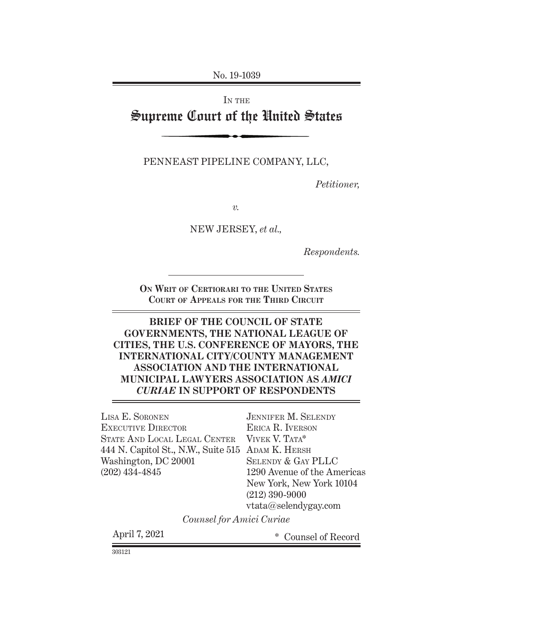No. 19-1039

# IN THE Supreme Court of the United States

PENNEAST PIPELINE COMPANY, LLC,

*Petitioner,*

*v.*

NEW JERSEY, *et al.,*

*Respondents.*

**On Writ of Certiorari to the United States Court of Appeals for the Third Circuit**

#### **BRIEF OF THE COUNCIL OF STATE GOVERNMENTS, THE NATIONAL LEAGUE OF CITIES, THE U.S. CONFERENCE OF MAYORS, THE INTERNATIONAL CITY/COUNTY MANAGEMENT ASSOCIATION AND THE INTERNATIONAL MUNICIPAL LAWYERS ASSOCIATION AS** *AMICI CURIAE* **IN SUPPORT OF RESPONDENTS**

444 N. Capitol St., N.W., Suite 515 ADAM K. HERSH Lisa E. Soronen EXECUTIVE DIRECTOR State And Local Legal Center Washington, DC 20001 (202) 434-4845

Jennifer M. Selendy Erica R. Iverson VIVEK V. TATA\* Selendy & Gay PLLC 1290 Avenue of the Americas New York, New York 10104 (212) 390-9000 vtata@selendygay.com

*Counsel for Amici Curiae*

April 7, 2021 **\*** Counsel of Record

303121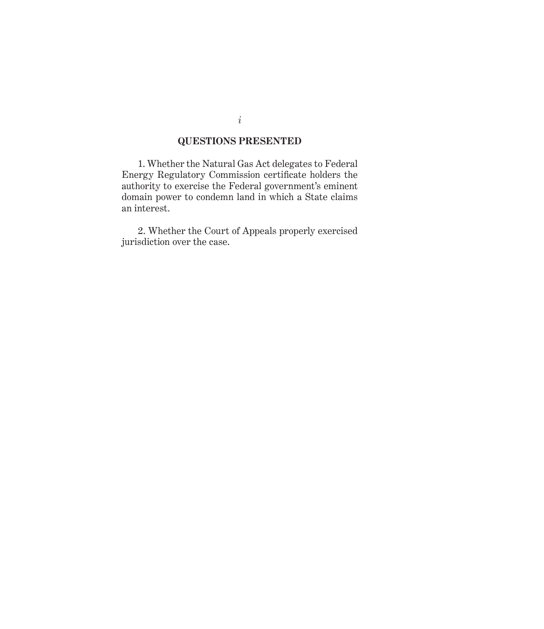#### **QUESTIONS PRESENTED**

1. Whether the Natural Gas Act delegates to Federal Energy Regulatory Commission certificate holders the authority to exercise the Federal government's eminent domain power to condemn land in which a State claims an interest.

2. Whether the Court of Appeals properly exercised jurisdiction over the case.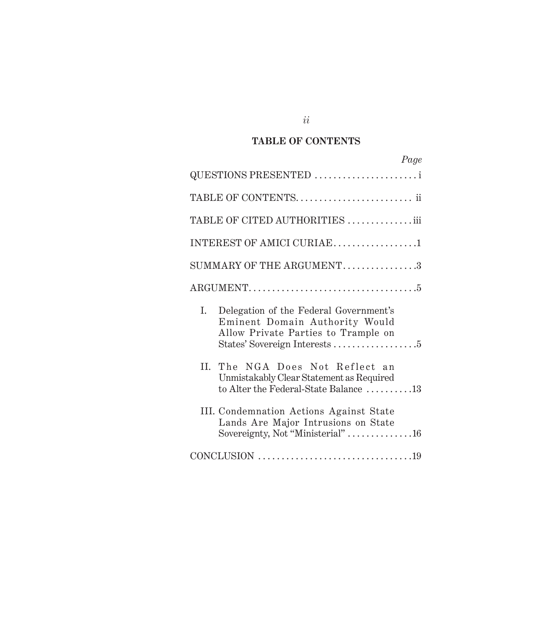## **TABLE OF CONTENTS**

|                | Page                                                                                                                |
|----------------|---------------------------------------------------------------------------------------------------------------------|
|                | QUESTIONS PRESENTED                                                                                                 |
|                | TABLE OF CONTENTS ii                                                                                                |
|                | TABLE OF CITED AUTHORITIES  iii                                                                                     |
|                | INTEREST OF AMICI CURIAE1                                                                                           |
|                | SUMMARY OF THE ARGUMENT3                                                                                            |
|                |                                                                                                                     |
| $\mathbf{I}$ . | Delegation of the Federal Government's<br>Eminent Domain Authority Would<br>Allow Private Parties to Trample on     |
| II.            | The NGA Does Not Reflect an<br>Unmistakably Clear Statement as Required<br>to Alter the Federal-State Balance 13    |
|                | III. Condemnation Actions Against State<br>Lands Are Major Intrusions on State<br>Sovereignty, Not "Ministerial" 16 |
|                |                                                                                                                     |

*ii*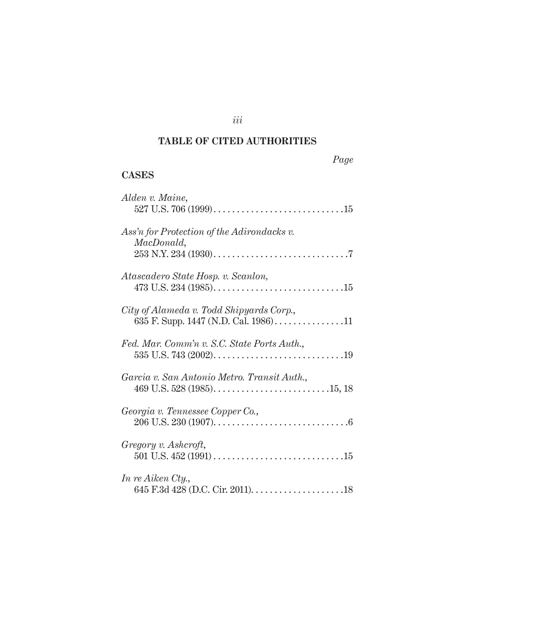### **TABLE OF CITED AUTHORITIES**

|--|

### **Cases**

| Alden v. Maine,                                                                                                      |
|----------------------------------------------------------------------------------------------------------------------|
| Ass'n for Protection of the Adirondacks v.<br>MacDonald,                                                             |
| Atascadero State Hosp. v. Scanlon,                                                                                   |
| City of Alameda v. Todd Shipyards Corp.,<br>635 F. Supp. 1447 (N.D. Cal. 1986)11                                     |
| Fed. Mar. Comm'n v. S.C. State Ports Auth.,                                                                          |
| Garcia v. San Antonio Metro. Transit Auth.,<br>469 U.S. 528 (1985). $\dots$ . $\dots$ . $\dots$ . $\dots$ . $15, 18$ |
| Georgia v. Tennessee Copper Co.,                                                                                     |
| Gregory v. Ashcroft,                                                                                                 |
| In re Aiken Cty.,                                                                                                    |

### *iii*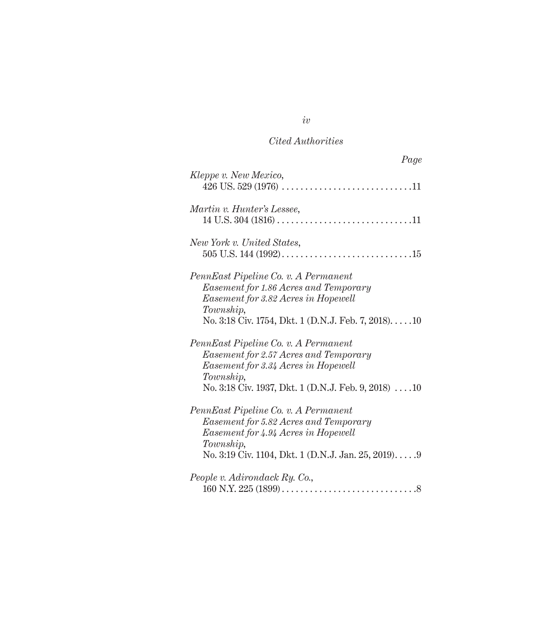| Page                                                                                                                                                                                      |
|-------------------------------------------------------------------------------------------------------------------------------------------------------------------------------------------|
| Kleppe v. New Mexico,                                                                                                                                                                     |
| Martin v. Hunter's Lessee,                                                                                                                                                                |
| New York v. United States,                                                                                                                                                                |
| PennEast Pipeline Co. v. A Permanent<br>Easement for 1.86 Acres and Temporary<br>Easement for 3.82 Acres in Hopewell<br>Township,<br>No. 3:18 Civ. 1754, Dkt. 1 (D.N.J. Feb. 7, 2018)10   |
| PennEast Pipeline Co. v. A Permanent<br>Easement for 2.57 Acres and Temporary<br>Easement for 3.34 Acres in Hopewell<br>Township,<br>No. 3:18 Civ. 1937, Dkt. 1 (D.N.J. Feb. 9, 2018)  10 |
| PennEast Pipeline Co. v. A Permanent<br>Easement for 5.82 Acres and Temporary<br>Easement for 4.94 Acres in Hopewell<br>Township,<br>No. 3:19 Civ. 1104, Dkt. 1 (D.N.J. Jan. 25, 2019)9   |
| People v. Adirondack Ry. Co.,                                                                                                                                                             |

*iv*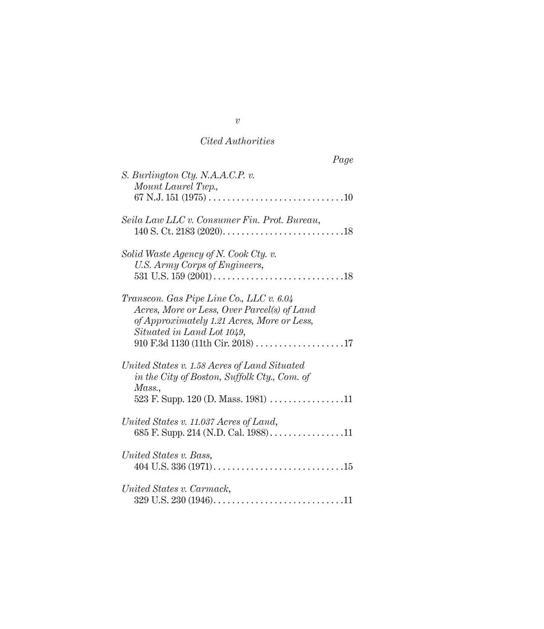| Page                                                                                                                                                                |
|---------------------------------------------------------------------------------------------------------------------------------------------------------------------|
| S. Burlington Cty. N.A.A.C.P. v.<br>Mount Laurel Twp.,                                                                                                              |
|                                                                                                                                                                     |
| Seila Law LLC v. Consumer Fin. Prot. Bureau,<br>140 S. Ct. 2183 $(2020)$                                                                                            |
| Solid Waste Agency of N. Cook Cty. v.<br>U.S. Army Corps of Engineers,                                                                                              |
|                                                                                                                                                                     |
| Transcon. Gas Pipe Line Co., LLC v. 6.04<br>Acres, More or Less, Over Parcel(s) of Land<br>of Approximately 1.21 Acres, More or Less,<br>Situated in Land Lot 1049, |
| 910 F.3d 1130 (11th Cir. 2018) 17                                                                                                                                   |
| United States v. 1.58 Acres of Land Situated<br>in the City of Boston, Suffolk Cty., Com. of<br>Mass.,                                                              |
|                                                                                                                                                                     |
| United States v. 11.037 Acres of Land,<br>685 F. Supp. 214 (N.D. Cal. 1988)11                                                                                       |
| United States v. Bass,                                                                                                                                              |
| United States v. Carmack,                                                                                                                                           |
|                                                                                                                                                                     |

*v*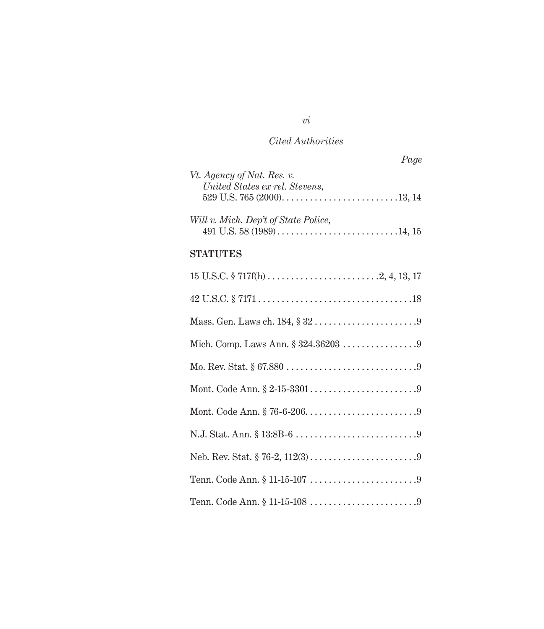| Page                                 |
|--------------------------------------|
| Vt. Agency of Nat. Res. v.           |
| United States ex rel. Stevens,       |
|                                      |
| Will v. Mich. Dep't of State Police, |
|                                      |

#### **Statutes**

| Mich. Comp. Laws Ann. § 324.36203 9 |
|-------------------------------------|
|                                     |
|                                     |
|                                     |
|                                     |
|                                     |
|                                     |
|                                     |

*vi*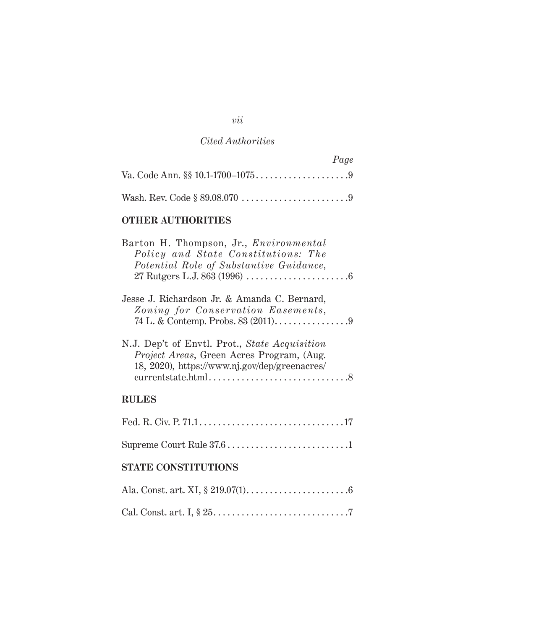| Page |
|------|
|      |
|      |

# **Other Authorities**

| Barton H. Thompson, Jr., <i>Environmental</i><br>Policy and State Constitutions: The<br>Potential Role of Substantive Guidance,             |  |
|---------------------------------------------------------------------------------------------------------------------------------------------|--|
| Jesse J. Richardson Jr. & Amanda C. Bernard,<br>Zoning for Conservation Easements,<br>74 L. & Contemp. Probs. 83 (2011). 9                  |  |
| N.J. Dep't of Envtl. Prot., State Acquisition<br>Project Areas, Green Acres Program, (Aug.<br>18, 2020), https://www.nj.gov/dep/greenacres/ |  |
| <b>RULES</b>                                                                                                                                |  |
|                                                                                                                                             |  |
| Supreme Court Rule 37.6 1                                                                                                                   |  |
| <b>STATE CONSTITUTIONS</b>                                                                                                                  |  |
|                                                                                                                                             |  |

|--|--|

#### *vii*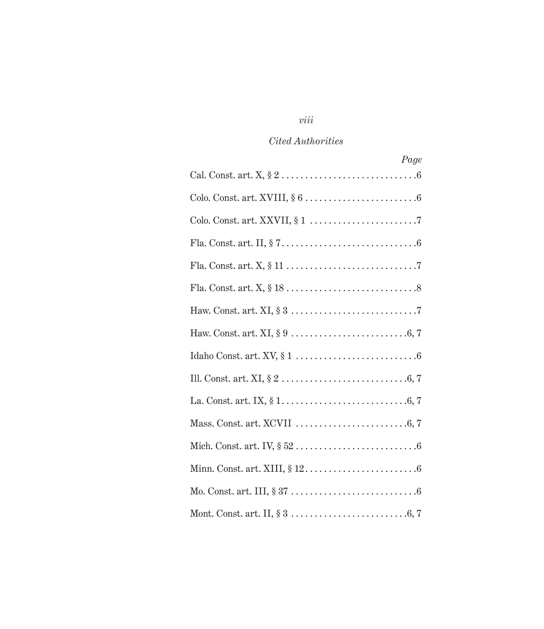# *viii*

## *Cited Authorities*

| Page                                                                                                             |
|------------------------------------------------------------------------------------------------------------------|
| Cal. Const. art. $X, \S 2 \ldots \ldots \ldots \ldots \ldots \ldots \ldots \ldots \ldots \ldots \ldots \ldots$   |
|                                                                                                                  |
|                                                                                                                  |
|                                                                                                                  |
|                                                                                                                  |
|                                                                                                                  |
|                                                                                                                  |
|                                                                                                                  |
|                                                                                                                  |
|                                                                                                                  |
|                                                                                                                  |
|                                                                                                                  |
|                                                                                                                  |
|                                                                                                                  |
| Mo. Const. art. III, $\S 37 \ldots \ldots \ldots \ldots \ldots \ldots \ldots \ldots \ldots \ldots \ldots \ldots$ |
| Mont. Const. art. II, $\S 3 \ldots \ldots \ldots \ldots \ldots \ldots \ldots \ldots \ldots \ldots \ldots \ldots$ |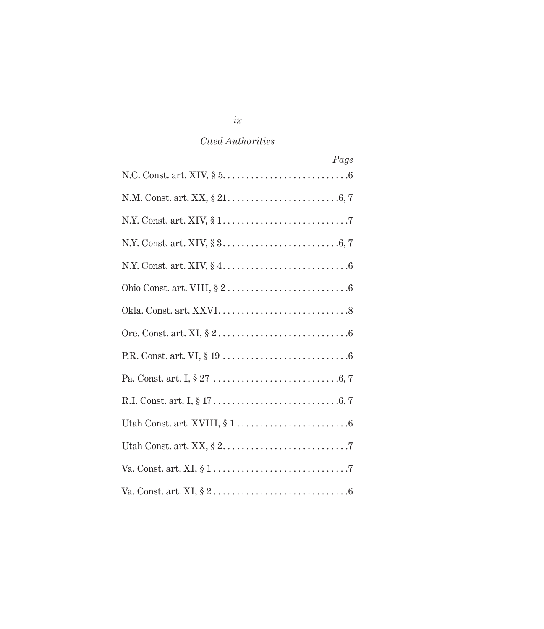| Page |
|------|
|      |
|      |
|      |
|      |
|      |
|      |
|      |
|      |
|      |
|      |
|      |
|      |
|      |
|      |
|      |

*ix*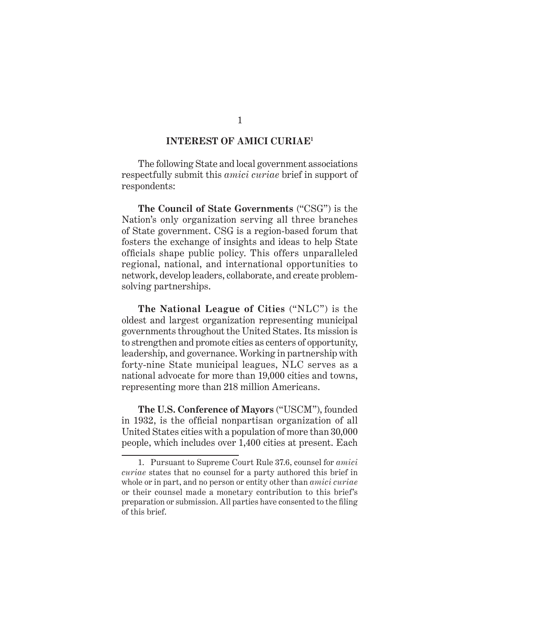#### **INTEREST OF AMICI CURIAE1**

The following State and local government associations respectfully submit this *amici curiae* brief in support of respondents:

**The Council of State Governments** ("CSG") is the Nation's only organization serving all three branches of State government. CSG is a region-based forum that fosters the exchange of insights and ideas to help State officials shape public policy. This offers unparalleled regional, national, and international opportunities to network, develop leaders, collaborate, and create problemsolving partnerships.

**The National League of Cities** ("NLC") is the oldest and largest organization representing municipal governments throughout the United States. Its mission is to strengthen and promote cities as centers of opportunity, leadership, and governance. Working in partnership with forty-nine State municipal leagues, NLC serves as a national advocate for more than 19,000 cities and towns, representing more than 218 million Americans.

**The U.S. Conference of Mayors** ("USCM"), founded in 1932, is the official nonpartisan organization of all United States cities with a population of more than 30,000 people, which includes over 1,400 cities at present. Each

<sup>1.</sup> Pursuant to Supreme Court Rule 37.6, counsel for *amici curiae* states that no counsel for a party authored this brief in whole or in part, and no person or entity other than *amici curiae* or their counsel made a monetary contribution to this brief's preparation or submission. All parties have consented to the filing of this brief.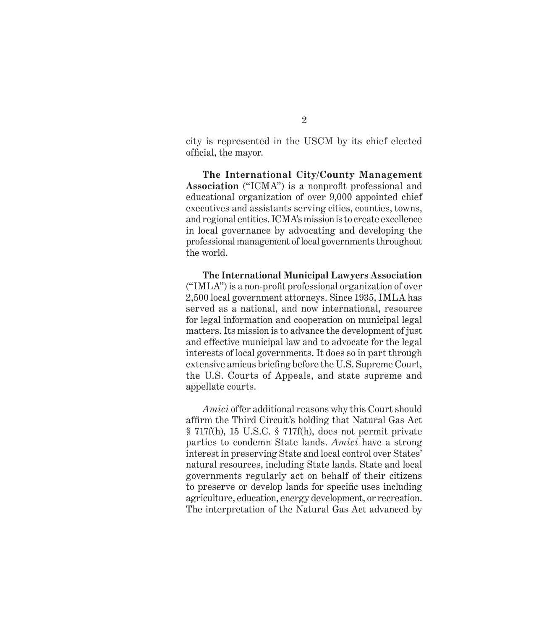city is represented in the USCM by its chief elected official, the mayor.

**The International City/County Management Association** ("ICMA") is a nonprofit professional and educational organization of over 9,000 appointed chief executives and assistants serving cities, counties, towns, and regional entities. ICMA's mission is to create excellence in local governance by advocating and developing the professional management of local governments throughout the world.

**The International Municipal Lawyers Association**  ("IMLA") is a non-profit professional organization of over 2,500 local government attorneys. Since 1935, IMLA has served as a national, and now international, resource for legal information and cooperation on municipal legal matters. Its mission is to advance the development of just and effective municipal law and to advocate for the legal interests of local governments. It does so in part through extensive amicus briefing before the U.S. Supreme Court, the U.S. Courts of Appeals, and state supreme and appellate courts.

*Amici* offer additional reasons why this Court should affirm the Third Circuit's holding that Natural Gas Act § 717f(h), 15 U.S.C. § 717f(h), does not permit private parties to condemn state lands. *Amici* have a strong interest in preserving State and local control over States' natural resources, including State lands. State and local governments regularly act on behalf of their citizens to preserve or develop lands for specific uses including agriculture, education, energy development, or recreation. The interpretation of the Natural Gas Act advanced by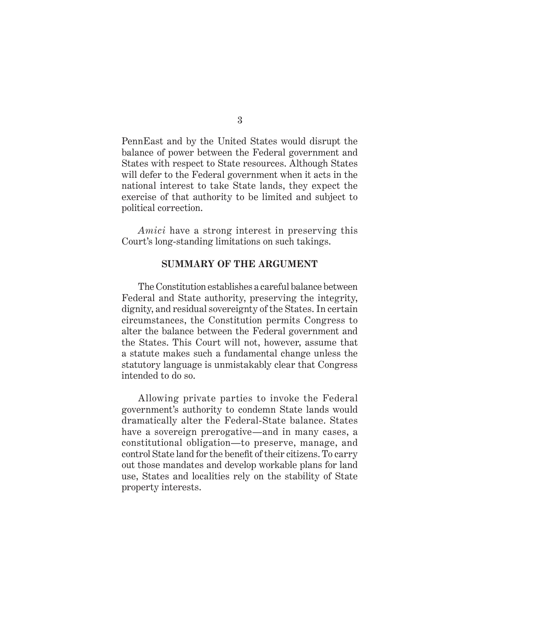PennEast and by the United States would disrupt the balance of power between the Federal government and States with respect to State resources. Although States will defer to the Federal government when it acts in the national interest to take State lands, they expect the exercise of that authority to be limited and subject to political correction.

*Amici* have a strong interest in preserving this Court's long-standing limitations on such takings.

#### **SUMMARY OF THE ARGUMENT**

The Constitution establishes a careful balance between Federal and State authority, preserving the integrity, dignity, and residual sovereignty of the States. In certain circumstances, the Constitution permits Congress to alter the balance between the Federal government and the States. This Court will not, however, assume that a statute makes such a fundamental change unless the statutory language is unmistakably clear that Congress intended to do so.

Allowing private parties to invoke the Federal government's authority to condemn State lands would dramatically alter the Federal-State balance. States have a sovereign prerogative—and in many cases, a constitutional obligation—to preserve, manage, and control State land for the benefit of their citizens. To carry out those mandates and develop workable plans for land use, States and localities rely on the stability of State property interests.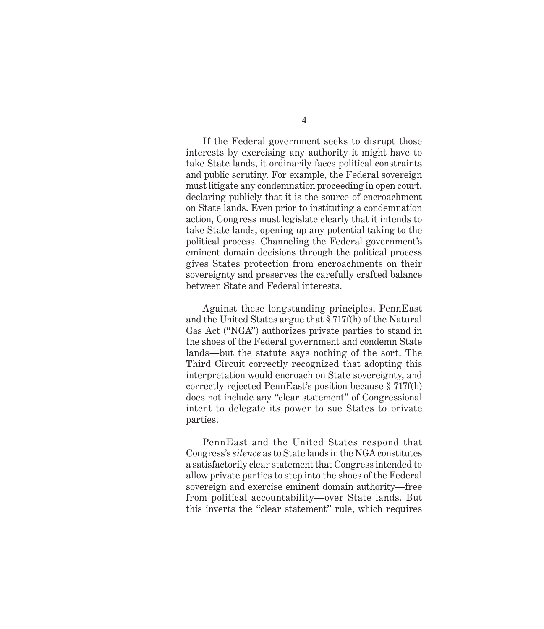If the Federal government seeks to disrupt those interests by exercising any authority it might have to take State lands, it ordinarily faces political constraints and public scrutiny. For example, the Federal sovereign must litigate any condemnation proceeding in open court, declaring publicly that it is the source of encroachment on State lands. Even prior to instituting a condemnation action, Congress must legislate clearly that it intends to take State lands, opening up any potential taking to the political process. Channeling the Federal government's eminent domain decisions through the political process gives States protection from encroachments on their sovereignty and preserves the carefully crafted balance between State and Federal interests.

Against these longstanding principles, PennEast and the United States argue that § 717f(h) of the Natural Gas Act ("NGA") authorizes private parties to stand in the shoes of the Federal government and condemn State lands—but the statute says nothing of the sort. The Third Circuit correctly recognized that adopting this interpretation would encroach on State sovereignty, and correctly rejected PennEast's position because § 717f(h) does not include any "clear statement" of Congressional intent to delegate its power to sue States to private parties.

PennEast and the United States respond that Congress's *silence* as to State lands in the NGA constitutes a satisfactorily clear statement that Congress intended to allow private parties to step into the shoes of the Federal sovereign and exercise eminent domain authority—free from political accountability—over State lands. But this inverts the "clear statement" rule, which requires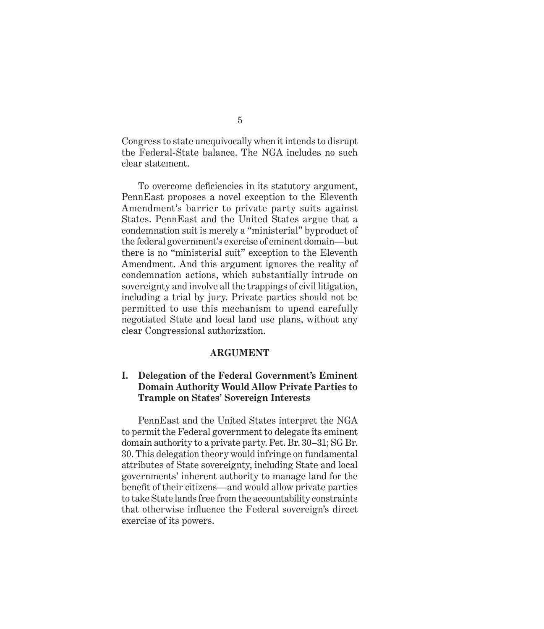Congress to state unequivocally when it intends to disrupt the Federal-State balance. The NGA includes no such clear statement.

To overcome deficiencies in its statutory argument, PennEast proposes a novel exception to the Eleventh Amendment's barrier to private party suits against States. PennEast and the United States argue that a condemnation suit is merely a "ministerial" byproduct of the federal government's exercise of eminent domain—but there is no "ministerial suit" exception to the Eleventh Amendment. And this argument ignores the reality of condemnation actions, which substantially intrude on sovereignty and involve all the trappings of civil litigation, including a trial by jury. Private parties should not be permitted to use this mechanism to upend carefully negotiated State and local land use plans, without any clear Congressional authorization.

#### **ARGUMENT**

#### **I. Delegation of the Federal Government's Eminent Domain Authority Would Allow Private Parties to Trample on States' Sovereign Interests**

PennEast and the United States interpret the NGA to permit the Federal government to delegate its eminent domain authority to a private party. Pet. Br. 30–31; SG Br. 30. This delegation theory would infringe on fundamental attributes of State sovereignty, including State and local governments' inherent authority to manage land for the benefit of their citizens—and would allow private parties to take State lands free from the accountability constraints that otherwise influence the Federal sovereign's direct exercise of its powers.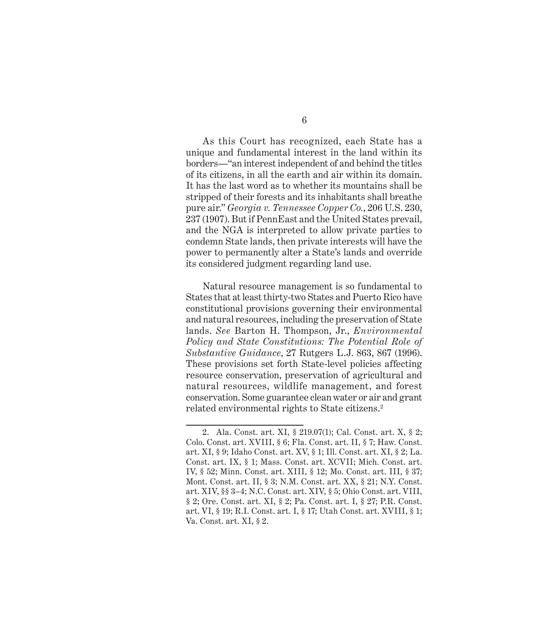As this Court has recognized, each State has a unique and fundamental interest in the land within its borders—"an interest independent of and behind the titles of its citizens, in all the earth and air within its domain. It has the last word as to whether its mountains shall be stripped of their forests and its inhabitants shall breathe pure air." *Georgia v. Tennessee Copper Co.*, 206 U.S. 230, 237 (1907). But if PennEast and the United States prevail, and the NGA is interpreted to allow private parties to condemn State lands, then private interests will have the power to permanently alter a State's lands and override its considered judgment regarding land use.

Natural resource management is so fundamental to States that at least thirty-two States and Puerto Rico have constitutional provisions governing their environmental and natural resources, including the preservation of State lands. *See* Barton H. Thompson, Jr., *Environmental Policy and State Constitutions: The Potential Role of Substantive Guidance*, 27 Rutgers L.J. 863, 867 (1996). These provisions set forth State-level policies affecting resource conservation, preservation of agricultural and natural resources, wildlife management, and forest conservation. Some guarantee clean water or air and grant related environmental rights to State citizens.<sup>2</sup>

<sup>2.</sup> Ala. Const. art. XI, § 219.07(1); Cal. Const. art. X, § 2; Colo. Const. art. XVIII, § 6; Fla. Const. art. II, § 7; Haw. Const. art. XI, § 9; Idaho Const. art. XV, § 1; Ill. Const. art. XI, § 2; La. Const. art. IX, § 1; Mass. Const. art. XCVII; Mich. Const. art. IV, § 52; Minn. Const. art. XIII, § 12; Mo. Const. art. III, § 37; Mont. Const. art. II, § 3; N.M. Const. art. XX, § 21; N.Y. Const. art. XIV, §§ 3–4; N.C. Const. art. XIV, § 5; Ohio Const. art. VIII, § 2; Ore. Const. art. XI, § 2; Pa. Const. art. I, § 27; P.R. Const. art. VI, § 19; R.I. Const. art. I, § 17; Utah Const. art. XVIII, § 1; Va. Const. art. XI, § 2.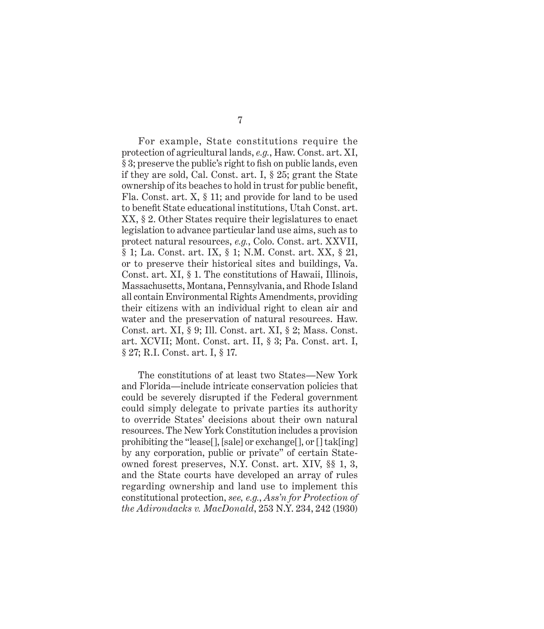For example, State constitutions require the protection of agricultural lands, *e.g.*, Haw. Const. art. XI, § 3; preserve the public's right to fish on public lands, even if they are sold, Cal. Const. art. I, § 25; grant the State ownership of its beaches to hold in trust for public benefit, Fla. Const. art. X, § 11; and provide for land to be used to benefit state educational institutions, Utah Const. art. XX, § 2. Other States require their legislatures to enact legislation to advance particular land use aims, such as to protect natural resources, *e.g.*, Colo. Const. art. XXVII, § 1; La. Const. art. IX, § 1; N.M. Const. art. XX, § 21, or to preserve their historical sites and buildings, Va. Const. art. XI, § 1. The constitutions of Hawaii, Illinois, Massachusetts, Montana, Pennsylvania, and Rhode Island all contain Environmental Rights Amendments, providing their citizens with an individual right to clean air and water and the preservation of natural resources. Haw. Const. art. XI, § 9; Ill. Const. art. XI, § 2; Mass. Const. art. XCVII; Mont. Const. art. II, § 3; Pa. Const. art. I, § 27; R.I. Const. art. I, § 17.

The constitutions of at least two States—New York and Florida—include intricate conservation policies that could be severely disrupted if the Federal government could simply delegate to private parties its authority to override States' decisions about their own natural resources. The New York constitution includes a provision prohibiting the "lease[], [sale] or exchange[], or [] tak[ing] by any corporation, public or private" of certain Stateowned forest preserves, N.Y. Const. art. XIV, §§ 1, 3, and the State courts have developed an array of rules regarding ownership and land use to implement this constitutional protection, *see, e.g.*, *Ass'n for Protection of the Adirondacks v. MacDonald*, 253 N.Y. 234, 242 (1930)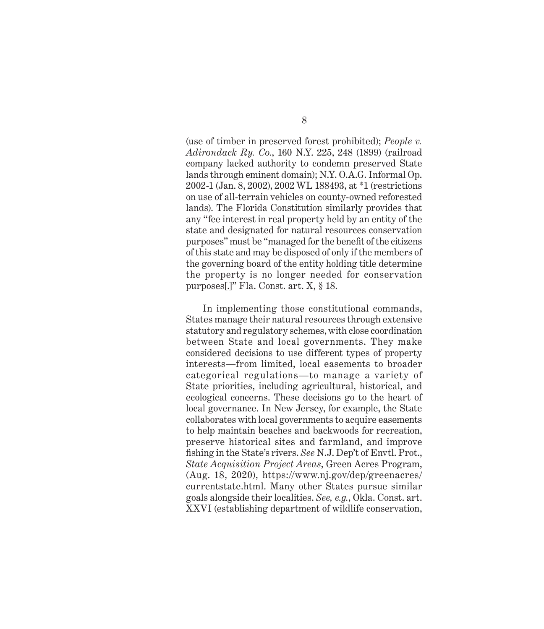(use of timber in preserved forest prohibited); *People v. Adirondack Ry. Co.*, 160 N.Y. 225, 248 (1899) (railroad company lacked authority to condemn preserved State lands through eminent domain); N.Y. O.A.G. Informal Op. 2002-1 (Jan. 8, 2002), 2002 WL 188493, at \*1 (restrictions on use of all-terrain vehicles on county-owned reforested lands). The Florida constitution similarly provides that any "fee interest in real property held by an entity of the state and designated for natural resources conservation purposes" must be "managed for the benefit of the citizens of this state and may be disposed of only if the members of the governing board of the entity holding title determine the property is no longer needed for conservation purposes[.]" Fla. Const. art. X, § 18.

In implementing those constitutional commands, States manage their natural resources through extensive statutory and regulatory schemes, with close coordination between State and local governments. They make considered decisions to use different types of property interests—from limited, local easements to broader categorical regulations—to manage a variety of State priorities, including agricultural, historical, and ecological concerns. These decisions go to the heart of local governance. In New Jersey, for example, the State collaborates with local governments to acquire easements to help maintain beaches and backwoods for recreation, preserve historical sites and farmland, and improve fishing in the State's rivers. *See* N.J. Dep't of Envtl. Prot., *State Acquisition Project Areas*, Green Acres Program, (Aug. 18, 2020), https://www.nj.gov/dep/greenacres/ currentstate.html. Many other States pursue similar goals alongside their localities. *See, e.g.*, Okla. Const. art. XXVI (establishing department of wildlife conservation,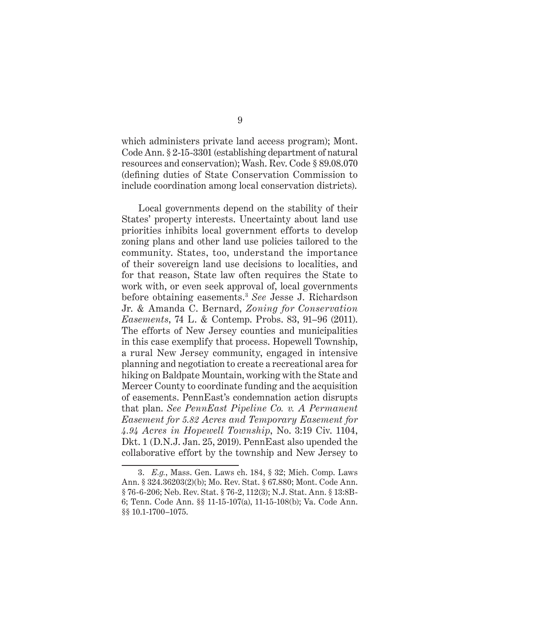which administers private land access program); Mont. Code Ann. § 2-15-3301 (establishing department of natural resources and conservation); Wash. Rev. Code § 89.08.070 (defining duties of State Conservation Commission to include coordination among local conservation districts).

Local governments depend on the stability of their States' property interests. Uncertainty about land use priorities inhibits local government efforts to develop zoning plans and other land use policies tailored to the community. States, too, understand the importance of their sovereign land use decisions to localities, and for that reason, State law often requires the State to work with, or even seek approval of, local governments before obtaining easements.3 *See* Jesse J. Richardson Jr. & Amanda C. Bernard, *Zoning for Conservation Easements*, 74 L. & Contemp. Probs. 83, 91–96 (2011). The efforts of New Jersey counties and municipalities in this case exemplify that process. Hopewell Township, a rural New Jersey community, engaged in intensive planning and negotiation to create a recreational area for hiking on Baldpate Mountain, working with the State and Mercer County to coordinate funding and the acquisition of easements. PennEast's condemnation action disrupts that plan. *See PennEast Pipeline Co. v. A Permanent Easement for 5.82 Acres and Temporary Easement for 4.94 Acres in Hopewell Township*, No. 3:19 Civ. 1104, Dkt. 1 (D.N.J. Jan. 25, 2019). PennEast also upended the collaborative effort by the township and New Jersey to

<sup>3.</sup> *E.g.*, Mass. Gen. Laws ch. 184, § 32; Mich. Comp. Laws Ann. § 324.36203(2)(b); Mo. Rev. Stat. § 67.880; Mont. Code Ann. § 76-6-206; Neb. Rev. Stat. § 76-2, 112(3); N.J. Stat. Ann. § 13:8B-6; Tenn. Code Ann. §§ 11-15-107(a), 11-15-108(b); Va. Code Ann. §§ 10.1-1700–1075.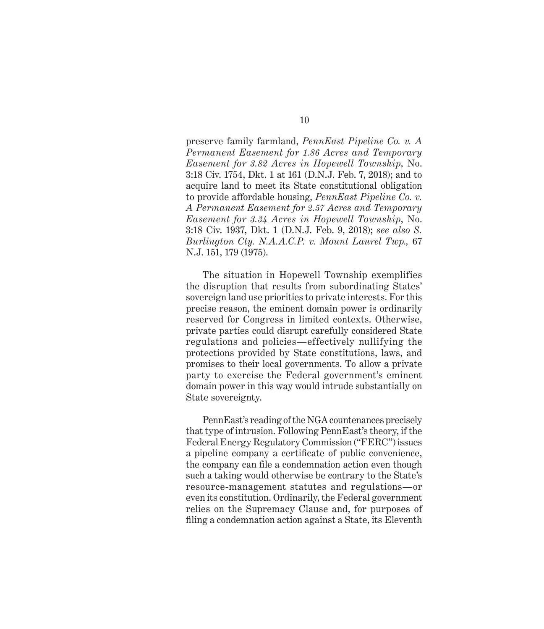preserve family farmland, *PennEast Pipeline Co. v. A Permanent Easement for 1.86 Acres and Temporary Easement for 3.82 Acres in Hopewell Township*, No. 3:18 Civ. 1754, Dkt. 1 at 161 (D.N.J. Feb. 7, 2018); and to acquire land to meet its State constitutional obligation to provide affordable housing, *PennEast Pipeline Co. v. A Permanent Easement for 2.57 Acres and Temporary Easement for 3.34 Acres in Hopewell Township*, No. 3:18 Civ. 1937, Dkt. 1 (D.N.J. Feb. 9, 2018); *see also S. Burlington Cty. N.A.A.C.P. v. Mount Laurel Twp.,* 67 N.J. 151, 179 (1975).

The situation in Hopewell Township exemplifies the disruption that results from subordinating States' sovereign land use priorities to private interests. For this precise reason, the eminent domain power is ordinarily reserved for Congress in limited contexts. Otherwise, private parties could disrupt carefully considered State regulations and policies—effectively nullifying the protections provided by State constitutions, laws, and promises to their local governments. To allow a private party to exercise the Federal government's eminent domain power in this way would intrude substantially on State sovereignty.

PennEast's reading of the NGA countenances precisely that type of intrusion. Following PennEast's theory, if the Federal Energy Regulatory Commission ("FERC") issues a pipeline company a certificate of public convenience, the company can file a condemnation action even though such a taking would otherwise be contrary to the State's resource-management statutes and regulations—or even its constitution. Ordinarily, the Federal government relies on the Supremacy Clause and, for purposes of filing a condemnation action against a State, its Eleventh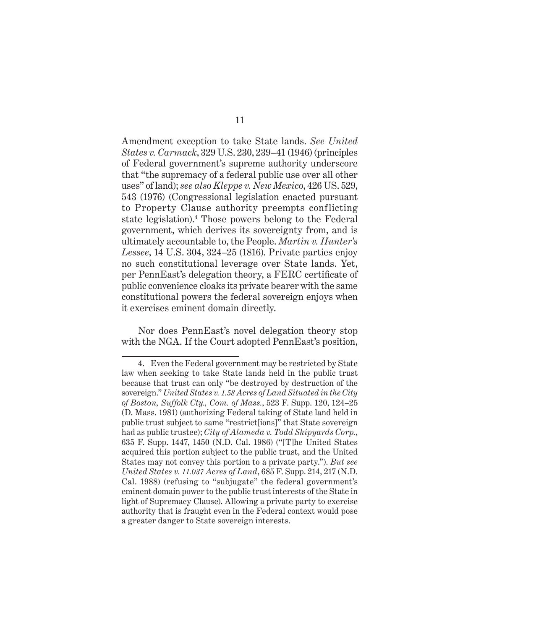Amendment exception to take State lands. *See United States v. Carmack*, 329 U.S. 230, 239–41 (1946) (principles of Federal government's supreme authority underscore that "the supremacy of a federal public use over all other uses" of land); *see also Kleppe v. New Mexico*, 426 US. 529, 543 (1976) (Congressional legislation enacted pursuant to Property Clause authority preempts conflicting state legislation).<sup>4</sup> Those powers belong to the Federal government, which derives its sovereignty from, and is ultimately accountable to, the People. *Martin v. Hunter's Lessee*, 14 U.S. 304, 324–25 (1816). Private parties enjoy no such constitutional leverage over State lands. Yet, per PennEast's delegation theory, a FERC certificate of public convenience cloaks its private bearer with the same constitutional powers the federal sovereign enjoys when it exercises eminent domain directly.

Nor does PennEast's novel delegation theory stop with the NGA. If the Court adopted PennEast's position,

<sup>4.</sup> Even the Federal government may be restricted by State law when seeking to take State lands held in the public trust because that trust can only "be destroyed by destruction of the sovereign." *United States v. 1.58 Acres of Land Situated in the City of Boston, Suffolk Cty., Com. of Mass.*, 523 F. Supp. 120, 124–25 (D. Mass. 1981) (authorizing Federal taking of State land held in public trust subject to same "restrict[ions]" that State sovereign had as public trustee); *City of Alameda v. Todd Shipyards Corp.*, 635 F. Supp. 1447, 1450 (N.D. Cal. 1986) ("[T]he United States acquired this portion subject to the public trust, and the United States may not convey this portion to a private party."). *But see United States v. 11.037 Acres of Land*, 685 F. Supp. 214, 217 (N.D. Cal. 1988) (refusing to "subjugate" the federal government's eminent domain power to the public trust interests of the State in light of Supremacy Clause). Allowing a private party to exercise authority that is fraught even in the Federal context would pose a greater danger to State sovereign interests.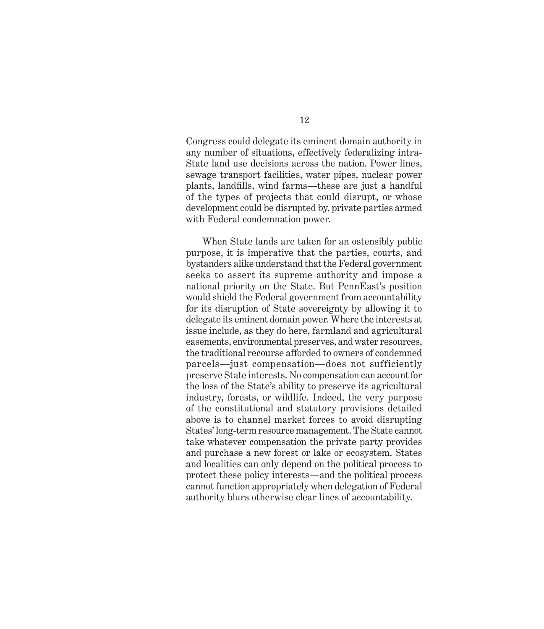Congress could delegate its eminent domain authority in any number of situations, effectively federalizing intra-State land use decisions across the nation. Power lines, sewage transport facilities, water pipes, nuclear power plants, landfills, wind farms—these are just a handful of the types of projects that could disrupt, or whose development could be disrupted by, private parties armed with Federal condemnation power.

When State lands are taken for an ostensibly public purpose, it is imperative that the parties, courts, and bystanders alike understand that the Federal government seeks to assert its supreme authority and impose a national priority on the State. But PennEast's position would shield the Federal government from accountability for its disruption of State sovereignty by allowing it to delegate its eminent domain power. Where the interests at issue include, as they do here, farmland and agricultural easements, environmental preserves, and water resources, the traditional recourse afforded to owners of condemned parcels—just compensation—does not sufficiently preserve State interests. No compensation can account for the loss of the State's ability to preserve its agricultural industry, forests, or wildlife. Indeed, the very purpose of the constitutional and statutory provisions detailed above is to channel market forces to avoid disrupting States' long-term resource management. The State cannot take whatever compensation the private party provides and purchase a new forest or lake or ecosystem. States and localities can only depend on the political process to protect these policy interests—and the political process cannot function appropriately when delegation of Federal authority blurs otherwise clear lines of accountability.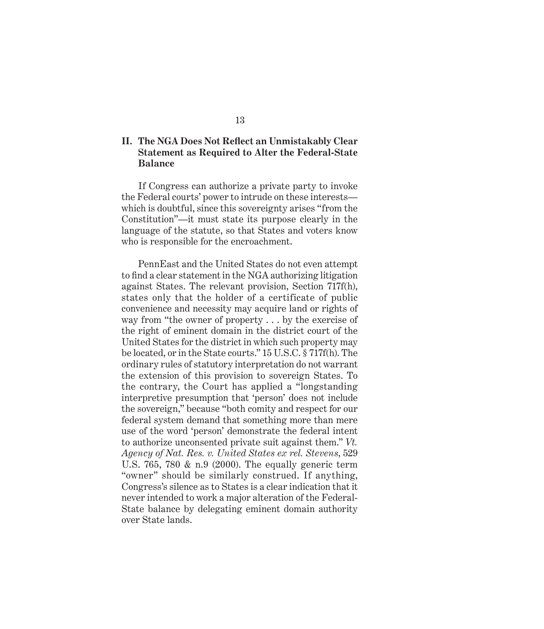#### **II. The NGA Does Not Reflect an Unmistakably Clear Statement as Required to Alter the Federal-State Balance**

If Congress can authorize a private party to invoke the Federal courts' power to intrude on these interests which is doubtful, since this sovereignty arises "from the Constitution"—it must state its purpose clearly in the language of the statute, so that States and voters know who is responsible for the encroachment.

PennEast and the United States do not even attempt to find a clear statement in the NGA authorizing litigation against States. The relevant provision, Section 717f(h), states only that the holder of a certificate of public convenience and necessity may acquire land or rights of way from "the owner of property . . . by the exercise of the right of eminent domain in the district court of the United States for the district in which such property may be located, or in the State courts." 15 U.S.C. § 717f(h). The ordinary rules of statutory interpretation do not warrant the extension of this provision to sovereign States. To the contrary, the Court has applied a "longstanding interpretive presumption that 'person' does not include the sovereign," because "both comity and respect for our federal system demand that something more than mere use of the word 'person' demonstrate the federal intent to authorize unconsented private suit against them." *Vt. Agency of Nat. Res. v. United States ex rel. Stevens*, 529 U.S. 765, 780 & n.9 (2000). The equally generic term "owner" should be similarly construed. If anything, Congress's silence as to States is a clear indication that it never intended to work a major alteration of the Federal-State balance by delegating eminent domain authority over State lands.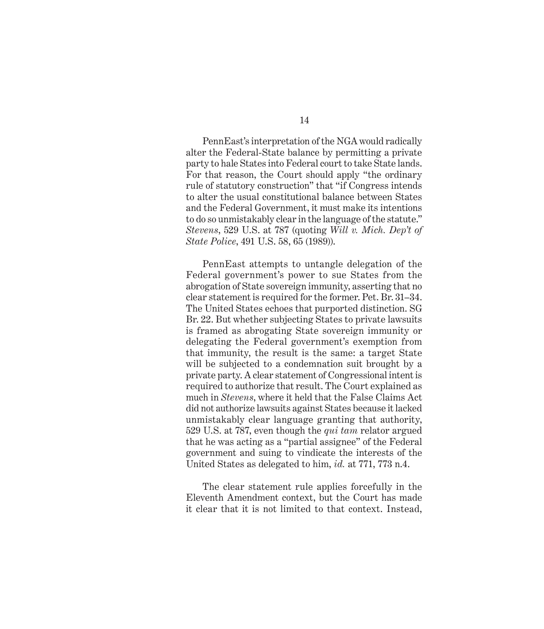PennEast's interpretation of the NGA would radically alter the Federal-State balance by permitting a private party to hale States into Federal court to take State lands. For that reason, the Court should apply "the ordinary rule of statutory construction" that "if Congress intends to alter the usual constitutional balance between States and the Federal Government, it must make its intentions to do so unmistakably clear in the language of the statute." *Stevens*, 529 U.S. at 787 (quoting *Will v. Mich. Dep't of State Police*, 491 U.S. 58, 65 (1989)).

PennEast attempts to untangle delegation of the Federal government's power to sue States from the abrogation of State sovereign immunity, asserting that no clear statement is required for the former. Pet. Br. 31–34. The United States echoes that purported distinction. SG Br. 22. But whether subjecting States to private lawsuits is framed as abrogating State sovereign immunity or delegating the Federal government's exemption from that immunity, the result is the same: a target State will be subjected to a condemnation suit brought by a private party. A clear statement of Congressional intent is required to authorize that result. The Court explained as much in *Stevens*, where it held that the False Claims Act did not authorize lawsuits against States because it lacked unmistakably clear language granting that authority, 529 U.S. at 787, even though the *qui tam* relator argued that he was acting as a "partial assignee" of the Federal government and suing to vindicate the interests of the United States as delegated to him, *id.* at 771, 773 n.4.

The clear statement rule applies forcefully in the Eleventh Amendment context, but the Court has made it clear that it is not limited to that context. Instead,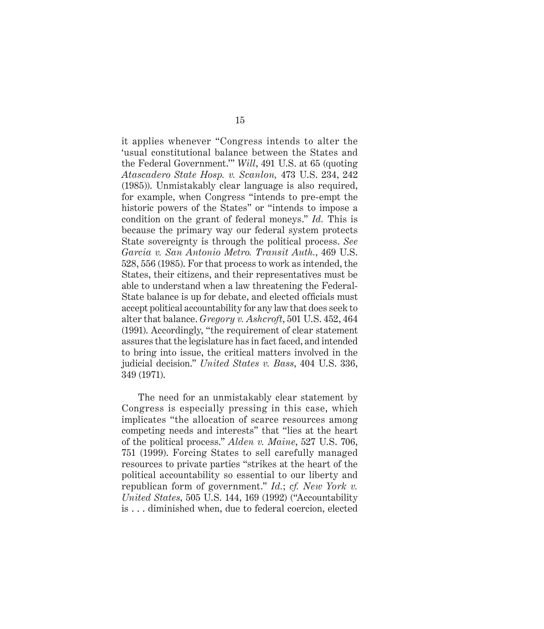it applies whenever "Congress intends to alter the 'usual constitutional balance between the States and the Federal Government.'" *Will*, 491 U.S. at 65 (quoting *Atascadero State Hosp. v. Scanlon,* 473 U.S. 234, 242 (1985)). Unmistakably clear language is also required, for example, when Congress "intends to pre-empt the historic powers of the States" or "intends to impose a condition on the grant of federal moneys." *Id.* This is because the primary way our federal system protects State sovereignty is through the political process. *See Garcia v. San Antonio Metro. Transit Auth.*, 469 U.S. 528, 556 (1985). For that process to work as intended, the States, their citizens, and their representatives must be able to understand when a law threatening the Federal-State balance is up for debate, and elected officials must accept political accountability for any law that does seek to alter that balance. *Gregory v. Ashcroft*, 501 U.S. 452, 464 (1991). Accordingly, "the requirement of clear statement assures that the legislature has in fact faced, and intended to bring into issue, the critical matters involved in the judicial decision." *United States v. Bass*, 404 U.S. 336, 349 (1971).

The need for an unmistakably clear statement by Congress is especially pressing in this case, which implicates "the allocation of scarce resources among competing needs and interests" that "lies at the heart of the political process." *Alden v. Maine*, 527 U.S. 706, 751 (1999). Forcing States to sell carefully managed resources to private parties "strikes at the heart of the political accountability so essential to our liberty and republican form of government." *Id.*; *cf. New York v. United States*, 505 U.S. 144, 169 (1992) ("Accountability is . . . diminished when, due to federal coercion, elected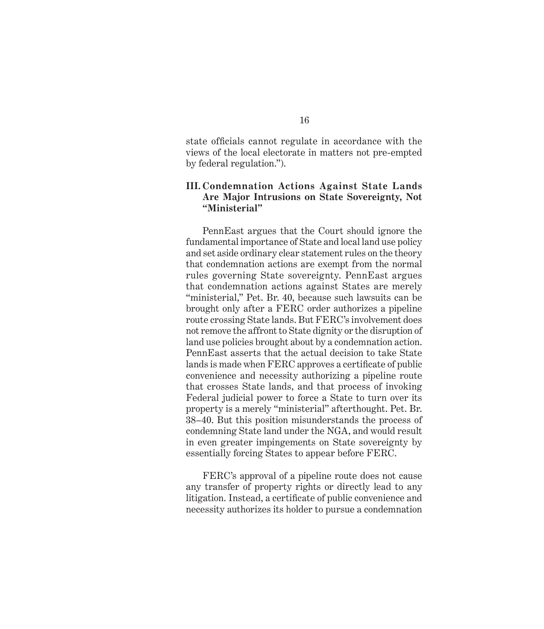state officials cannot regulate in accordance with the views of the local electorate in matters not pre-empted by federal regulation.").

#### **III. Condemnation Actions Against State Lands Are Major Intrusions on State Sovereignty, Not "Ministerial"**

PennEast argues that the Court should ignore the fundamental importance of State and local land use policy and set aside ordinary clear statement rules on the theory that condemnation actions are exempt from the normal rules governing State sovereignty. PennEast argues that condemnation actions against States are merely "ministerial," Pet. Br. 40, because such lawsuits can be brought only after a FERC order authorizes a pipeline route crossing State lands. But FERC's involvement does not remove the affront to State dignity or the disruption of land use policies brought about by a condemnation action. PennEast asserts that the actual decision to take State lands is made when FERC approves a certificate of public convenience and necessity authorizing a pipeline route that crosses state lands, and that process of invoking Federal judicial power to force a State to turn over its property is a merely "ministerial" afterthought. Pet. Br. 38–40. But this position misunderstands the process of condemning State land under the NGA, and would result in even greater impingements on State sovereignty by essentially forcing States to appear before FERC.

FERC's approval of a pipeline route does not cause any transfer of property rights or directly lead to any litigation. Instead, a certificate of public convenience and necessity authorizes its holder to pursue a condemnation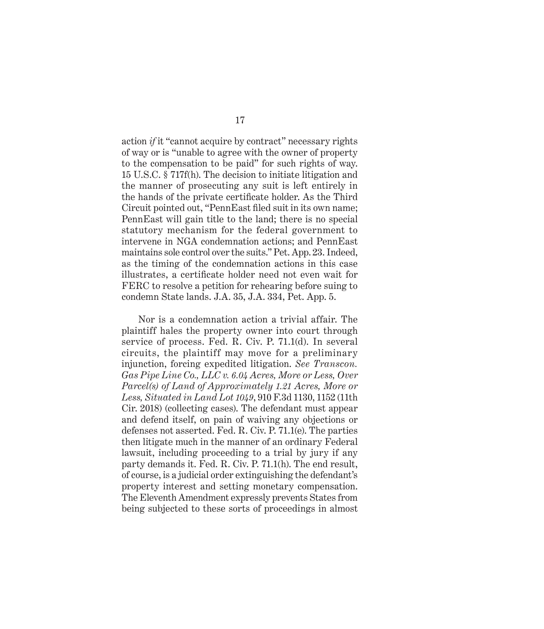action *if* it "cannot acquire by contract" necessary rights of way or is "unable to agree with the owner of property to the compensation to be paid" for such rights of way. 15 U.S.C. § 717f(h). The decision to initiate litigation and the manner of prosecuting any suit is left entirely in the hands of the private certificate holder. As the Third Circuit pointed out, "PennEast filed suit in its own name; PennEast will gain title to the land; there is no special statutory mechanism for the federal government to intervene in NGA condemnation actions; and PennEast maintains sole control over the suits." Pet. App. 23. Indeed, as the timing of the condemnation actions in this case illustrates, a certificate holder need not even wait for FERC to resolve a petition for rehearing before suing to condemn State lands. J.A. 35, J.A. 334, Pet. App. 5.

Nor is a condemnation action a trivial affair. The plaintiff hales the property owner into court through service of process. Fed. R. Civ. P. 71.1(d). In several circuits, the plaintiff may move for a preliminary injunction, forcing expedited litigation. *See Transcon. Gas Pipe Line Co., LLC v. 6.04 Acres, More or Less, Over Parcel(s) of Land of Approximately 1.21 Acres, More or Less, Situated in Land Lot 1049*, 910 F.3d 1130, 1152 (11th Cir. 2018) (collecting cases). The defendant must appear and defend itself, on pain of waiving any objections or defenses not asserted. Fed. R. Civ. P. 71.1(e). The parties then litigate much in the manner of an ordinary Federal lawsuit, including proceeding to a trial by jury if any party demands it. Fed. R. Civ. P. 71.1(h). The end result, of course, is a judicial order extinguishing the defendant's property interest and setting monetary compensation. The Eleventh Amendment expressly prevents States from being subjected to these sorts of proceedings in almost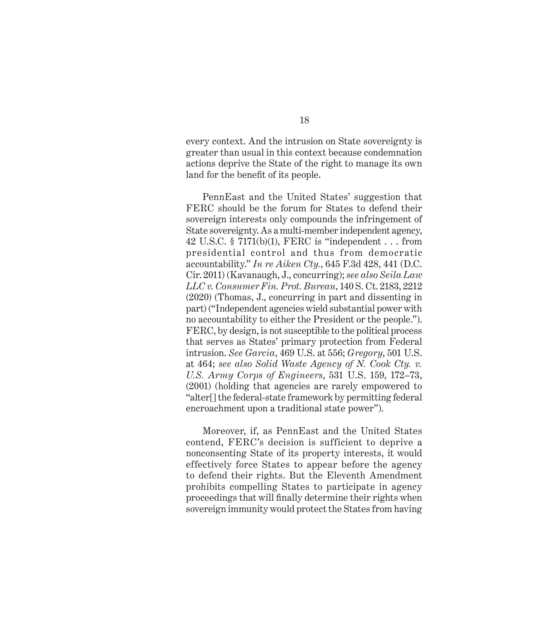every context. And the intrusion on State sovereignty is greater than usual in this context because condemnation actions deprive the State of the right to manage its own land for the benefit of its people.

PennEast and the United States' suggestion that FERC should be the forum for States to defend their sovereign interests only compounds the infringement of State sovereignty. As a multi-member independent agency, 42 U.S.C. § 7171(b)(1), FERC is "independent . . . from presidential control and thus from democratic accountability." *In re Aiken Cty.*, 645 F.3d 428, 441 (D.C. Cir. 2011) (Kavanaugh, J., concurring); *see also Seila Law LLC v. Consumer Fin. Prot. Bureau*, 140 S. Ct. 2183, 2212 (2020) (Thomas, J., concurring in part and dissenting in part) ("Independent agencies wield substantial power with no accountability to either the President or the people."). FERC, by design, is not susceptible to the political process that serves as States' primary protection from Federal intrusion. *See Garcia*, 469 U.S. at 556; *Gregory*, 501 U.S. at 464; *see also Solid Waste Agency of N. Cook Cty. v. U.S. Army Corps of Engineers*, 531 U.S. 159, 172–73, (2001) (holding that agencies are rarely empowered to "alter[] the federal-state framework by permitting federal encroachment upon a traditional state power").

Moreover, if, as PennEast and the United States contend, FERC's decision is sufficient to deprive a nonconsenting State of its property interests, it would effectively force States to appear before the agency to defend their rights. But the Eleventh Amendment prohibits compelling States to participate in agency proceedings that will finally determine their rights when sovereign immunity would protect the States from having